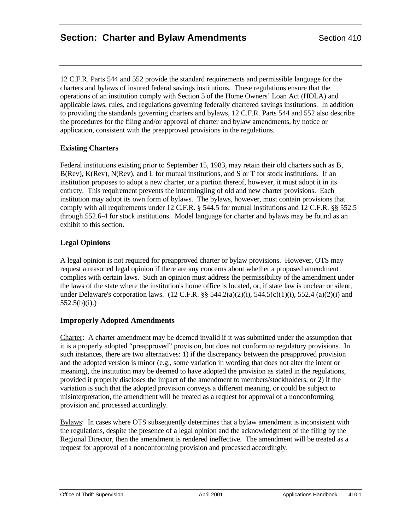12 C.F.R. Parts 544 and 552 provide the standard requirements and permissible language for the charters and bylaws of insured federal savings institutions. These regulations ensure that the operations of an institution comply with Section 5 of the Home Owners' Loan Act (HOLA) and applicable laws, rules, and regulations governing federally chartered savings institutions. In addition to providing the standards governing charters and bylaws, 12 C.F.R. Parts 544 and 552 also describe the procedures for the filing and/or approval of charter and bylaw amendments, by notice or application, consistent with the preapproved provisions in the regulations.

# **Existing Charters**

Federal institutions existing prior to September 15, 1983, may retain their old charters such as B, B(Rev), K(Rev), N(Rev), and L for mutual institutions, and S or T for stock institutions. If an institution proposes to adopt a new charter, or a portion thereof, however, it must adopt it in its entirety. This requirement prevents the intermingling of old and new charter provisions. Each institution may adopt its own form of bylaws. The bylaws, however, must contain provisions that comply with all requirements under 12 C.F.R. § 544.5 for mutual institutions and 12 C.F.R. §§ 552.5 through 552.6-4 for stock institutions. Model language for charter and bylaws may be found as an exhibit to this section.

# **Legal Opinions**

A legal opinion is not required for preapproved charter or bylaw provisions. However, OTS may request a reasoned legal opinion if there are any concerns about whether a proposed amendment complies with certain laws. Such an opinion must address the permissibility of the amendment under the laws of the state where the institution's home office is located, or, if state law is unclear or silent, under Delaware's corporation laws. (12 C.F.R. §§ 544.2(a)(2)(i), 544.5(c)(1)(i), 552.4 (a)(2)(i) and  $552.5(b)(i)$ .)

## **Improperly Adopted Amendments**

Charter: A charter amendment may be deemed invalid if it was submitted under the assumption that it is a properly adopted "preapproved" provision, but does not conform to regulatory provisions. In such instances, there are two alternatives: 1) if the discrepancy between the preapproved provision and the adopted version is minor (e.g., some variation in wording that does not alter the intent or meaning), the institution may be deemed to have adopted the provision as stated in the regulations, provided it properly discloses the impact of the amendment to members/stockholders; or 2) if the variation is such that the adopted provision conveys a different meaning, or could be subject to misinterpretation, the amendment will be treated as a request for approval of a nonconforming provision and processed accordingly.

Bylaws: In cases where OTS subsequently determines that a bylaw amendment is inconsistent with the regulations, despite the presence of a legal opinion and the acknowledgment of the filing by the Regional Director, then the amendment is rendered ineffective. The amendment will be treated as a request for approval of a nonconforming provision and processed accordingly.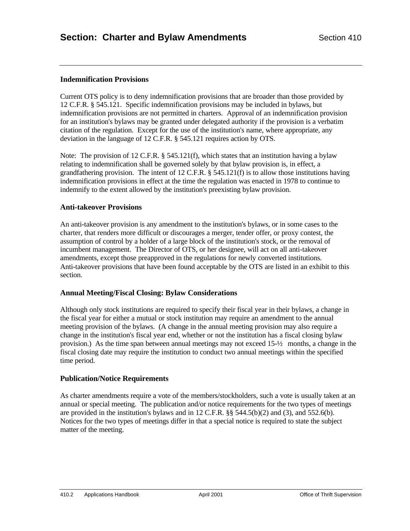## **Indemnification Provisions**

Current OTS policy is to deny indemnification provisions that are broader than those provided by 12 C.F.R. § 545.121. Specific indemnification provisions may be included in bylaws, but indemnification provisions are not permitted in charters. Approval of an indemnification provision for an institution's bylaws may be granted under delegated authority if the provision is a verbatim citation of the regulation. Except for the use of the institution's name, where appropriate, any deviation in the language of 12 C.F.R. § 545.121 requires action by OTS.

Note: The provision of 12 C.F.R.  $\S$  545.121(f), which states that an institution having a bylaw relating to indemnification shall be governed solely by that bylaw provision is, in effect, a grandfathering provision. The intent of 12 C.F.R. § 545.121(f) is to allow those institutions having indemnification provisions in effect at the time the regulation was enacted in 1978 to continue to indemnify to the extent allowed by the institution's preexisting bylaw provision.

## **Anti-takeover Provisions**

An anti-takeover provision is any amendment to the institution's bylaws, or in some cases to the charter, that renders more difficult or discourages a merger, tender offer, or proxy contest, the assumption of control by a holder of a large block of the institution's stock, or the removal of incumbent management. The Director of OTS, or her designee, will act on all anti-takeover amendments, except those preapproved in the regulations for newly converted institutions. Anti-takeover provisions that have been found acceptable by the OTS are listed in an exhibit to this section.

#### **Annual Meeting/Fiscal Closing: Bylaw Considerations**

Although only stock institutions are required to specify their fiscal year in their bylaws, a change in the fiscal year for either a mutual or stock institution may require an amendment to the annual meeting provision of the bylaws. (A change in the annual meeting provision may also require a change in the institution's fiscal year end, whether or not the institution has a fiscal closing bylaw provision.) As the time span between annual meetings may not exceed  $15-\frac{1}{2}$  months, a change in the fiscal closing date may require the institution to conduct two annual meetings within the specified time period.

#### **Publication/Notice Requirements**

As charter amendments require a vote of the members/stockholders, such a vote is usually taken at an annual or special meeting. The publication and/or notice requirements for the two types of meetings are provided in the institution's bylaws and in 12 C.F.R.  $\S$  544.5(b)(2) and (3), and 552.6(b). Notices for the two types of meetings differ in that a special notice is required to state the subject matter of the meeting.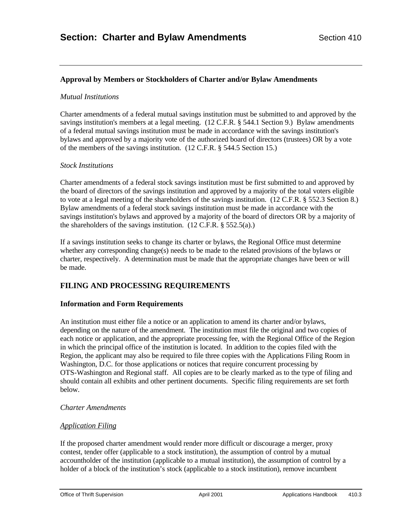# **Approval by Members or Stockholders of Charter and/or Bylaw Amendments**

#### *Mutual Institutions*

Charter amendments of a federal mutual savings institution must be submitted to and approved by the savings institution's members at a legal meeting. (12 C.F.R. § 544.1 Section 9.) Bylaw amendments of a federal mutual savings institution must be made in accordance with the savings institution's bylaws and approved by a majority vote of the authorized board of directors (trustees) OR by a vote of the members of the savings institution. (12 C.F.R. § 544.5 Section 15.)

## *Stock Institutions*

Charter amendments of a federal stock savings institution must be first submitted to and approved by the board of directors of the savings institution and approved by a majority of the total voters eligible to vote at a legal meeting of the shareholders of the savings institution. (12 C.F.R. § 552.3 Section 8.) Bylaw amendments of a federal stock savings institution must be made in accordance with the savings institution's bylaws and approved by a majority of the board of directors OR by a majority of the shareholders of the savings institution.  $(12 \text{ C.F.R. } § 552.5(a))$ 

If a savings institution seeks to change its charter or bylaws, the Regional Office must determine whether any corresponding change(s) needs to be made to the related provisions of the bylaws or charter, respectively. A determination must be made that the appropriate changes have been or will be made.

# **FILING AND PROCESSING REQUIREMENTS**

## **Information and Form Requirements**

An institution must either file a notice or an application to amend its charter and/or bylaws, depending on the nature of the amendment. The institution must file the original and two copies of each notice or application, and the appropriate processing fee, with the Regional Office of the Region in which the principal office of the institution is located. In addition to the copies filed with the Region, the applicant may also be required to file three copies with the Applications Filing Room in Washington, D.C. for those applications or notices that require concurrent processing by OTS-Washington and Regional staff. All copies are to be clearly marked as to the type of filing and should contain all exhibits and other pertinent documents. Specific filing requirements are set forth below.

#### *Charter Amendments*

## *Application Filing*

If the proposed charter amendment would render more difficult or discourage a merger, proxy contest, tender offer (applicable to a stock institution), the assumption of control by a mutual accountholder of the institution (applicable to a mutual institution), the assumption of control by a holder of a block of the institution's stock (applicable to a stock institution), remove incumbent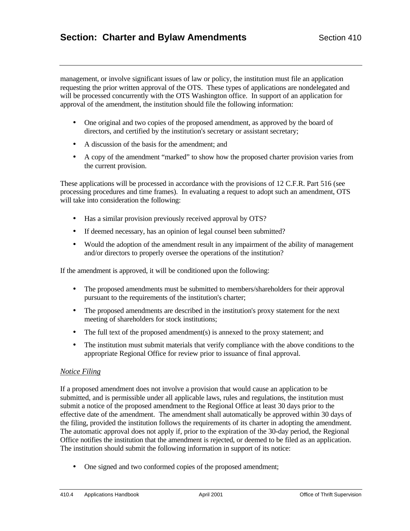management, or involve significant issues of law or policy, the institution must file an application requesting the prior written approval of the OTS. These types of applications are nondelegated and will be processed concurrently with the OTS Washington office. In support of an application for approval of the amendment, the institution should file the following information:

- One original and two copies of the proposed amendment, as approved by the board of directors, and certified by the institution's secretary or assistant secretary;
- A discussion of the basis for the amendment; and
- A copy of the amendment "marked" to show how the proposed charter provision varies from the current provision.

These applications will be processed in accordance with the provisions of 12 C.F.R. Part 516 (see processing procedures and time frames). In evaluating a request to adopt such an amendment, OTS will take into consideration the following:

- Has a similar provision previously received approval by OTS?
- If deemed necessary, has an opinion of legal counsel been submitted?
- Would the adoption of the amendment result in any impairment of the ability of management and/or directors to properly oversee the operations of the institution?

If the amendment is approved, it will be conditioned upon the following:

- The proposed amendments must be submitted to members/shareholders for their approval pursuant to the requirements of the institution's charter;
- The proposed amendments are described in the institution's proxy statement for the next meeting of shareholders for stock institutions;
- The full text of the proposed amendment(s) is annexed to the proxy statement; and
- The institution must submit materials that verify compliance with the above conditions to the appropriate Regional Office for review prior to issuance of final approval.

## *Notice Filing*

If a proposed amendment does not involve a provision that would cause an application to be submitted, and is permissible under all applicable laws, rules and regulations, the institution must submit a notice of the proposed amendment to the Regional Office at least 30 days prior to the effective date of the amendment. The amendment shall automatically be approved within 30 days of the filing, provided the institution follows the requirements of its charter in adopting the amendment. The automatic approval does not apply if, prior to the expiration of the 30-day period, the Regional Office notifies the institution that the amendment is rejected, or deemed to be filed as an application. The institution should submit the following information in support of its notice:

• One signed and two conformed copies of the proposed amendment;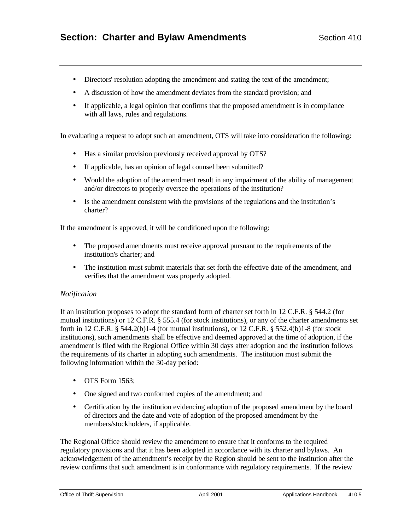- Directors' resolution adopting the amendment and stating the text of the amendment;
- A discussion of how the amendment deviates from the standard provision; and
- If applicable, a legal opinion that confirms that the proposed amendment is in compliance with all laws, rules and regulations.

In evaluating a request to adopt such an amendment, OTS will take into consideration the following:

- Has a similar provision previously received approval by OTS?
- If applicable, has an opinion of legal counsel been submitted?
- Would the adoption of the amendment result in any impairment of the ability of management and/or directors to properly oversee the operations of the institution?
- Is the amendment consistent with the provisions of the regulations and the institution's charter?

If the amendment is approved, it will be conditioned upon the following:

- The proposed amendments must receive approval pursuant to the requirements of the institution's charter; and
- The institution must submit materials that set forth the effective date of the amendment, and verifies that the amendment was properly adopted.

#### *Notification*

If an institution proposes to adopt the standard form of charter set forth in 12 C.F.R. § 544.2 (for mutual institutions) or 12 C.F.R. § 555.4 (for stock institutions), or any of the charter amendments set forth in 12 C.F.R.  $\S$  544.2(b)1-4 (for mutual institutions), or 12 C.F.R.  $\S$  552.4(b)1-8 (for stock institutions), such amendments shall be effective and deemed approved at the time of adoption, if the amendment is filed with the Regional Office within 30 days after adoption and the institution follows the requirements of its charter in adopting such amendments. The institution must submit the following information within the 30-day period:

- OTS Form 1563:
- One signed and two conformed copies of the amendment; and
- Certification by the institution evidencing adoption of the proposed amendment by the board of directors and the date and vote of adoption of the proposed amendment by the members/stockholders, if applicable.

The Regional Office should review the amendment to ensure that it conforms to the required regulatory provisions and that it has been adopted in accordance with its charter and bylaws. An acknowledgement of the amendment's receipt by the Region should be sent to the institution after the review confirms that such amendment is in conformance with regulatory requirements. If the review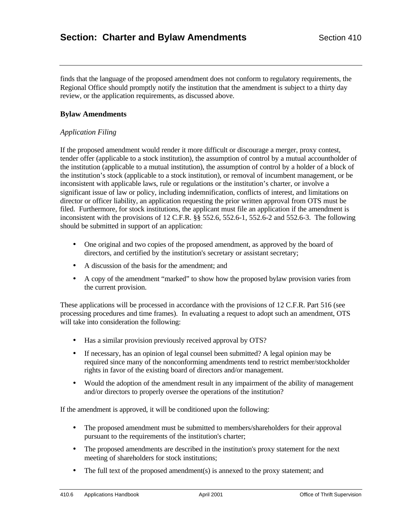finds that the language of the proposed amendment does not conform to regulatory requirements, the Regional Office should promptly notify the institution that the amendment is subject to a thirty day review, or the application requirements, as discussed above.

## **Bylaw Amendments**

## *Application Filing*

If the proposed amendment would render it more difficult or discourage a merger, proxy contest, tender offer (applicable to a stock institution), the assumption of control by a mutual accountholder of the institution (applicable to a mutual institution), the assumption of control by a holder of a block of the institution's stock (applicable to a stock institution), or removal of incumbent management, or be inconsistent with applicable laws, rule or regulations or the institution's charter, or involve a significant issue of law or policy, including indemnification, conflicts of interest, and limitations on director or officer liability, an application requesting the prior written approval from OTS must be filed. Furthermore, for stock institutions, the applicant must file an application if the amendment is inconsistent with the provisions of 12 C.F.R. §§ 552.6, 552.6-1, 552.6-2 and 552.6-3. The following should be submitted in support of an application:

- One original and two copies of the proposed amendment, as approved by the board of directors, and certified by the institution's secretary or assistant secretary;
- A discussion of the basis for the amendment; and
- A copy of the amendment "marked" to show how the proposed bylaw provision varies from the current provision.

These applications will be processed in accordance with the provisions of 12 C.F.R. Part 516 (see processing procedures and time frames). In evaluating a request to adopt such an amendment, OTS will take into consideration the following:

- Has a similar provision previously received approval by OTS?
- If necessary, has an opinion of legal counsel been submitted? A legal opinion may be required since many of the nonconforming amendments tend to restrict member/stockholder rights in favor of the existing board of directors and/or management.
- Would the adoption of the amendment result in any impairment of the ability of management and/or directors to properly oversee the operations of the institution?

If the amendment is approved, it will be conditioned upon the following:

- The proposed amendment must be submitted to members/shareholders for their approval pursuant to the requirements of the institution's charter;
- The proposed amendments are described in the institution's proxy statement for the next meeting of shareholders for stock institutions;
- The full text of the proposed amendment(s) is annexed to the proxy statement; and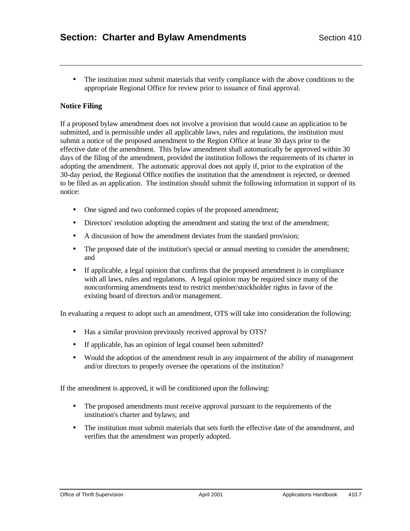• The institution must submit materials that verify compliance with the above conditions to the appropriate Regional Office for review prior to issuance of final approval.

## **Notice Filing**

If a proposed bylaw amendment does not involve a provision that would cause an application to be submitted, and is permissible under all applicable laws, rules and regulations, the institution must submit a notice of the proposed amendment to the Region Office at lease 30 days prior to the effective date of the amendment. This bylaw amendment shall automatically be approved within 30 days of the filing of the amendment, provided the institution follows the requirements of its charter in adopting the amendment. The automatic approval does not apply if, prior to the expiration of the 30-day period, the Regional Office notifies the institution that the amendment is rejected, or deemed to be filed as an application. The institution should submit the following information in support of its notice:

- One signed and two conformed copies of the proposed amendment;
- Directors' resolution adopting the amendment and stating the text of the amendment;
- A discussion of how the amendment deviates from the standard provision;
- The proposed date of the institution's special or annual meeting to consider the amendment; and
- If applicable, a legal opinion that confirms that the proposed amendment is in compliance with all laws, rules and regulations. A legal opinion may be required since many of the nonconforming amendments tend to restrict member/stockholder rights in favor of the existing board of directors and/or management.

In evaluating a request to adopt such an amendment, OTS will take into consideration the following:

- Has a similar provision previously received approval by OTS?
- If applicable, has an opinion of legal counsel been submitted?
- Would the adoption of the amendment result in any impairment of the ability of management and/or directors to properly oversee the operations of the institution?

If the amendment is approved, it will be conditioned upon the following:

- The proposed amendments must receive approval pursuant to the requirements of the institution's charter and bylaws; and
- The institution must submit materials that sets forth the effective date of the amendment, and verifies that the amendment was properly adopted.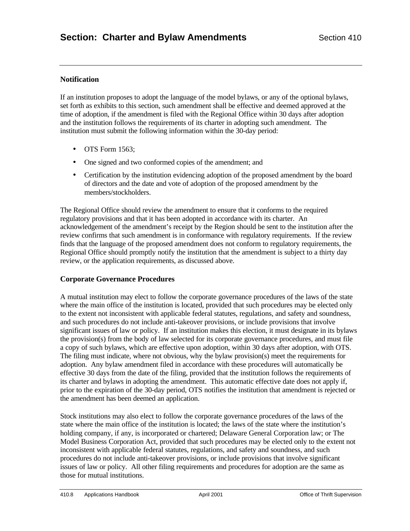## **Notification**

If an institution proposes to adopt the language of the model bylaws, or any of the optional bylaws, set forth as exhibits to this section, such amendment shall be effective and deemed approved at the time of adoption, if the amendment is filed with the Regional Office within 30 days after adoption and the institution follows the requirements of its charter in adopting such amendment. The institution must submit the following information within the 30-day period:

- $\bullet$  OTS Form 1563:
- One signed and two conformed copies of the amendment; and
- Certification by the institution evidencing adoption of the proposed amendment by the board of directors and the date and vote of adoption of the proposed amendment by the members/stockholders.

The Regional Office should review the amendment to ensure that it conforms to the required regulatory provisions and that it has been adopted in accordance with its charter. An acknowledgement of the amendment's receipt by the Region should be sent to the institution after the review confirms that such amendment is in conformance with regulatory requirements. If the review finds that the language of the proposed amendment does not conform to regulatory requirements, the Regional Office should promptly notify the institution that the amendment is subject to a thirty day review, or the application requirements, as discussed above.

## **Corporate Governance Procedures**

A mutual institution may elect to follow the corporate governance procedures of the laws of the state where the main office of the institution is located, provided that such procedures may be elected only to the extent not inconsistent with applicable federal statutes, regulations, and safety and soundness, and such procedures do not include anti-takeover provisions, or include provisions that involve significant issues of law or policy. If an institution makes this election, it must designate in its bylaws the provision(s) from the body of law selected for its corporate governance procedures, and must file a copy of such bylaws, which are effective upon adoption, within 30 days after adoption, with OTS. The filing must indicate, where not obvious, why the bylaw provision(s) meet the requirements for adoption. Any bylaw amendment filed in accordance with these procedures will automatically be effective 30 days from the date of the filing, provided that the institution follows the requirements of its charter and bylaws in adopting the amendment. This automatic effective date does not apply if, prior to the expiration of the 30-day period, OTS notifies the institution that amendment is rejected or the amendment has been deemed an application.

Stock institutions may also elect to follow the corporate governance procedures of the laws of the state where the main office of the institution is located; the laws of the state where the institution's holding company, if any, is incorporated or chartered; Delaware General Corporation law; or The Model Business Corporation Act, provided that such procedures may be elected only to the extent not inconsistent with applicable federal statutes, regulations, and safety and soundness, and such procedures do not include anti-takeover provisions, or include provisions that involve significant issues of law or policy. All other filing requirements and procedures for adoption are the same as those for mutual institutions.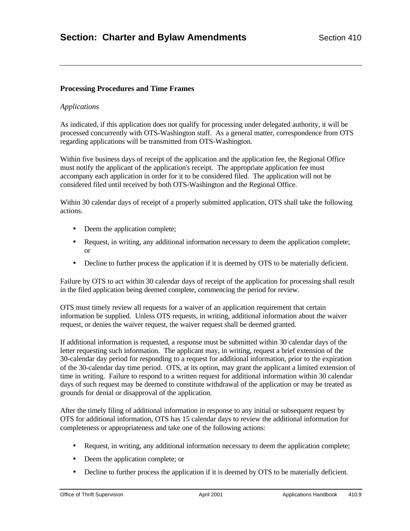## **Processing Procedures and Time Frames**

## *Applications*

As indicated, if this application does not qualify for processing under delegated authority, it will be processed concurrently with OTS-Washington staff. As a general matter, correspondence from OTS regarding applications will be transmitted from OTS-Washington.

Within five business days of receipt of the application and the application fee, the Regional Office must notify the applicant of the application's receipt. The appropriate application fee must accompany each application in order for it to be considered filed. The application will not be considered filed until received by both OTS-Washington and the Regional Office.

Within 30 calendar days of receipt of a properly submitted application, OTS shall take the following actions.

- Deem the application complete;
- Request, in writing, any additional information necessary to deem the application complete; or
- Decline to further process the application if it is deemed by OTS to be materially deficient.

Failure by OTS to act within 30 calendar days of receipt of the application for processing shall result in the filed application being deemed complete, commencing the period for review.

OTS must timely review all requests for a waiver of an application requirement that certain information be supplied. Unless OTS requests, in writing, additional information about the waiver request, or denies the waiver request, the waiver request shall be deemed granted.

If additional information is requested, a response must be submitted within 30 calendar days of the letter requesting such information. The applicant may, in writing, request a brief extension of the 30-calendar day period for responding to a request for additional information, prior to the expiration of the 30-calendar day time period. OTS, at its option, may grant the applicant a limited extension of time in writing. Failure to respond to a written request for additional information within 30 calendar days of such request may be deemed to constitute withdrawal of the application or may be treated as grounds for denial or disapproval of the application.

After the timely filing of additional information in response to any initial or subsequent request by OTS for additional information, OTS has 15 calendar days to review the additional information for completeness or appropriateness and take one of the following actions:

- Request, in writing, any additional information necessary to deem the application complete;
- Deem the application complete; or
- Decline to further process the application if it is deemed by OTS to be materially deficient.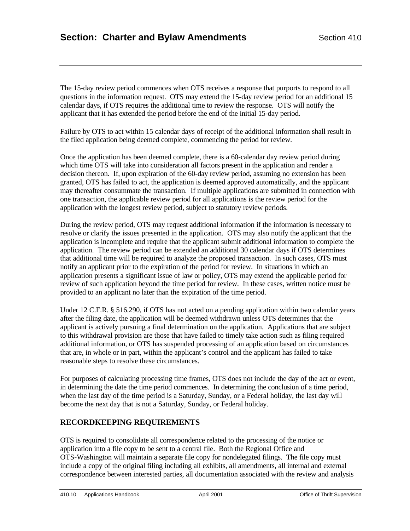The 15-day review period commences when OTS receives a response that purports to respond to all questions in the information request. OTS may extend the 15-day review period for an additional 15 calendar days, if OTS requires the additional time to review the response. OTS will notify the applicant that it has extended the period before the end of the initial 15-day period.

Failure by OTS to act within 15 calendar days of receipt of the additional information shall result in the filed application being deemed complete, commencing the period for review.

Once the application has been deemed complete, there is a 60-calendar day review period during which time OTS will take into consideration all factors present in the application and render a decision thereon. If, upon expiration of the 60-day review period, assuming no extension has been granted, OTS has failed to act, the application is deemed approved automatically, and the applicant may thereafter consummate the transaction. If multiple applications are submitted in connection with one transaction, the applicable review period for all applications is the review period for the application with the longest review period, subject to statutory review periods.

During the review period, OTS may request additional information if the information is necessary to resolve or clarify the issues presented in the application. OTS may also notify the applicant that the application is incomplete and require that the applicant submit additional information to complete the application. The review period can be extended an additional 30 calendar days if OTS determines that additional time will be required to analyze the proposed transaction. In such cases, OTS must notify an applicant prior to the expiration of the period for review. In situations in which an application presents a significant issue of law or policy, OTS may extend the applicable period for review of such application beyond the time period for review. In these cases, written notice must be provided to an applicant no later than the expiration of the time period.

Under 12 C.F.R. § 516.290, if OTS has not acted on a pending application within two calendar years after the filing date, the application will be deemed withdrawn unless OTS determines that the applicant is actively pursuing a final determination on the application. Applications that are subject to this withdrawal provision are those that have failed to timely take action such as filing required additional information, or OTS has suspended processing of an application based on circumstances that are, in whole or in part, within the applicant's control and the applicant has failed to take reasonable steps to resolve these circumstances.

For purposes of calculating processing time frames, OTS does not include the day of the act or event, in determining the date the time period commences. In determining the conclusion of a time period, when the last day of the time period is a Saturday, Sunday, or a Federal holiday, the last day will become the next day that is not a Saturday, Sunday, or Federal holiday.

# **RECORDKEEPING REQUIREMENTS**

OTS is required to consolidate all correspondence related to the processing of the notice or application into a file copy to be sent to a central file. Both the Regional Office and OTS-Washington will maintain a separate file copy for nondelegated filings. The file copy must include a copy of the original filing including all exhibits, all amendments, all internal and external correspondence between interested parties, all documentation associated with the review and analysis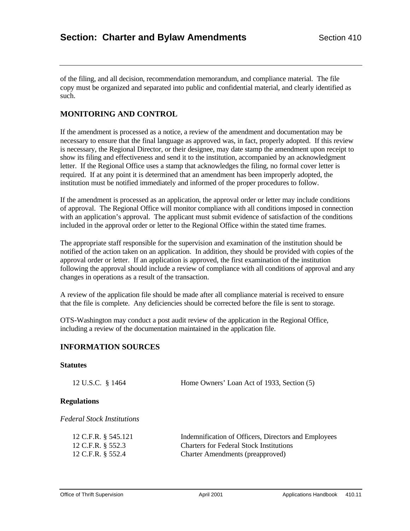of the filing, and all decision, recommendation memorandum, and compliance material. The file copy must be organized and separated into public and confidential material, and clearly identified as such.

## **MONITORING AND CONTROL**

If the amendment is processed as a notice, a review of the amendment and documentation may be necessary to ensure that the final language as approved was, in fact, properly adopted. If this review is necessary, the Regional Director, or their designee, may date stamp the amendment upon receipt to show its filing and effectiveness and send it to the institution, accompanied by an acknowledgment letter. If the Regional Office uses a stamp that acknowledges the filing, no formal cover letter is required. If at any point it is determined that an amendment has been improperly adopted, the institution must be notified immediately and informed of the proper procedures to follow.

If the amendment is processed as an application, the approval order or letter may include conditions of approval. The Regional Office will monitor compliance with all conditions imposed in connection with an application's approval. The applicant must submit evidence of satisfaction of the conditions included in the approval order or letter to the Regional Office within the stated time frames.

The appropriate staff responsible for the supervision and examination of the institution should be notified of the action taken on an application. In addition, they should be provided with copies of the approval order or letter. If an application is approved, the first examination of the institution following the approval should include a review of compliance with all conditions of approval and any changes in operations as a result of the transaction.

A review of the application file should be made after all compliance material is received to ensure that the file is complete. Any deficiencies should be corrected before the file is sent to storage.

OTS-Washington may conduct a post audit review of the application in the Regional Office, including a review of the documentation maintained in the application file.

## **INFORMATION SOURCES**

#### **Statutes**

| 12 U.S.C. § 1464   | Home Owners' Loan Act of 1933, Section (5) |
|--------------------|--------------------------------------------|
| <b>Regulations</b> |                                            |

*Federal Stock Institutions*

| 12 C.F.R. § 545.121 | Indemnification of Officers, Directors and Employees |
|---------------------|------------------------------------------------------|
| 12 C.F.R. § 552.3   | <b>Charters for Federal Stock Institutions</b>       |
| 12 C.F.R. § 552.4   | <b>Charter Amendments (preapproved)</b>              |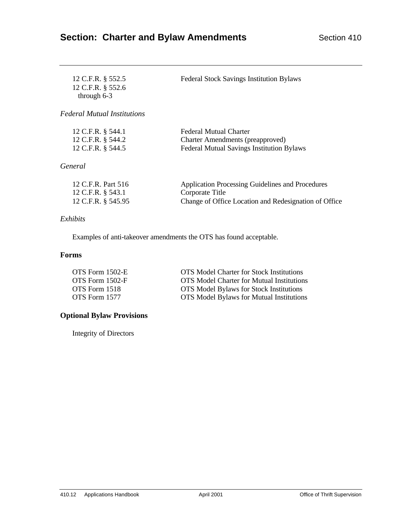| 12 C.F.R. § 552.5<br>12 C.F.R. § 552.6<br>through $6-3$       | <b>Federal Stock Savings Institution Bylaws</b>                                                                              |
|---------------------------------------------------------------|------------------------------------------------------------------------------------------------------------------------------|
| <b>Federal Mutual Institutions</b>                            |                                                                                                                              |
| 12 C.F.R. § 544.1<br>12 C.F.R. § 544.2<br>12 C.F.R. § 544.5   | Federal Mutual Charter<br>Charter Amendments (preapproved)<br><b>Federal Mutual Savings Institution Bylaws</b>               |
| General                                                       |                                                                                                                              |
| 12 C.F.R. Part 516<br>12 C.F.R. § 543.1<br>12 C.F.R. § 545.95 | Application Processing Guidelines and Procedures<br>Corporate Title<br>Change of Office Location and Redesignation of Office |

## *Exhibits*

Examples of anti-takeover amendments the OTS has found acceptable.

# **Forms**

| OTS Form 1502-E | <b>OTS</b> Model Charter for Stock Institutions  |
|-----------------|--------------------------------------------------|
| OTS Form 1502-F | <b>OTS</b> Model Charter for Mutual Institutions |
| OTS Form 1518   | <b>OTS</b> Model Bylaws for Stock Institutions   |
| OTS Form 1577   | <b>OTS</b> Model Bylaws for Mutual Institutions  |

# **Optional Bylaw Provisions**

Integrity of Directors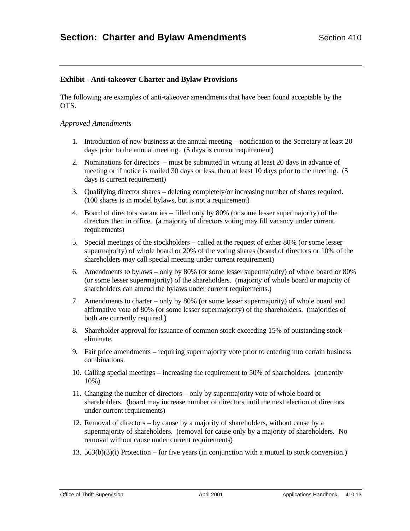# **Exhibit - Anti-takeover Charter and Bylaw Provisions**

The following are examples of anti-takeover amendments that have been found acceptable by the OTS.

### *Approved Amendments*

- 1. Introduction of new business at the annual meeting notification to the Secretary at least 20 days prior to the annual meeting. (5 days is current requirement)
- 2. Nominations for directors must be submitted in writing at least 20 days in advance of meeting or if notice is mailed 30 days or less, then at least 10 days prior to the meeting. (5 days is current requirement)
- 3. Qualifying director shares deleting completely/or increasing number of shares required. (100 shares is in model bylaws, but is not a requirement)
- 4. Board of directors vacancies filled only by 80% (or some lesser supermajority) of the directors then in office. (a majority of directors voting may fill vacancy under current requirements)
- 5. Special meetings of the stockholders called at the request of either 80% (or some lesser supermajority) of whole board or 20% of the voting shares (board of directors or 10% of the shareholders may call special meeting under current requirement)
- 6. Amendments to bylaws only by 80% (or some lesser supermajority) of whole board or 80% (or some lesser supermajority) of the shareholders. (majority of whole board or majority of shareholders can amend the bylaws under current requirements.)
- 7. Amendments to charter only by 80% (or some lesser supermajority) of whole board and affirmative vote of 80% (or some lesser supermajority) of the shareholders. (majorities of both are currently required.)
- 8. Shareholder approval for issuance of common stock exceeding 15% of outstanding stock eliminate.
- 9. Fair price amendments requiring supermajority vote prior to entering into certain business combinations.
- 10. Calling special meetings increasing the requirement to 50% of shareholders. (currently 10%)
- 11. Changing the number of directors only by supermajority vote of whole board or shareholders. (board may increase number of directors until the next election of directors under current requirements)
- 12. Removal of directors by cause by a majority of shareholders, without cause by a supermajority of shareholders. (removal for cause only by a majority of shareholders. No removal without cause under current requirements)
- 13. 563(b)(3)(i) Protection for five years (in conjunction with a mutual to stock conversion.)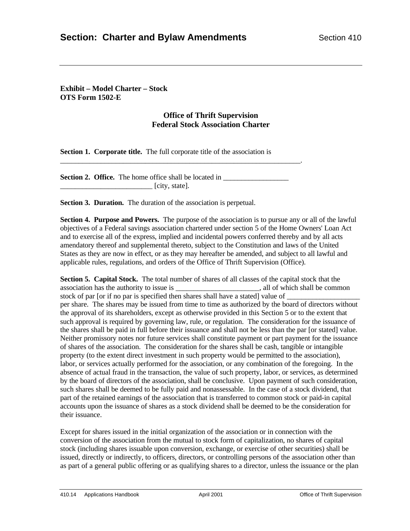**Exhibit – Model Charter – Stock OTS Form 1502-E**

## **Office of Thrift Supervision Federal Stock Association Charter**

**Section 1. Corporate title.** The full corporate title of the association is

**Section 2. Office.** The home office shall be located in  $\overline{\phantom{a}}$  [city, state].

\_\_\_\_\_\_\_\_\_\_\_\_\_\_\_\_\_\_\_\_\_\_\_\_\_\_\_\_\_\_\_\_\_\_\_\_\_\_\_\_\_\_\_\_\_\_\_\_\_\_\_\_\_\_\_\_\_\_\_\_\_\_\_\_\_.

**Section 3. Duration.** The duration of the association is perpetual.

**Section 4. Purpose and Powers.** The purpose of the association is to pursue any or all of the lawful objectives of a Federal savings association chartered under section 5 of the Home Owners' Loan Act and to exercise all of the express, implied and incidental powers conferred thereby and by all acts amendatory thereof and supplemental thereto, subject to the Constitution and laws of the United States as they are now in effect, or as they may hereafter be amended, and subject to all lawful and applicable rules, regulations, and orders of the Office of Thrift Supervision (Office).

**Section 5. Capital Stock.** The total number of shares of all classes of the capital stock that the association has the authority to issue is \_\_\_\_\_\_\_\_\_\_\_\_\_\_\_\_\_\_\_\_\_\_\_, all of which shall be common stock of par [or if no par is specified then shares shall have a stated] value of per share. The shares may be issued from time to time as authorized by the board of directors without the approval of its shareholders, except as otherwise provided in this Section 5 or to the extent that such approval is required by governing law, rule, or regulation. The consideration for the issuance of the shares shall be paid in full before their issuance and shall not be less than the par [or stated] value. Neither promissory notes nor future services shall constitute payment or part payment for the issuance of shares of the association. The consideration for the shares shall be cash, tangible or intangible property (to the extent direct investment in such property would be permitted to the association), labor, or services actually performed for the association, or any combination of the foregoing. In the absence of actual fraud in the transaction, the value of such property, labor, or services, as determined by the board of directors of the association, shall be conclusive. Upon payment of such consideration, such shares shall be deemed to be fully paid and nonassessable. In the case of a stock dividend, that part of the retained earnings of the association that is transferred to common stock or paid-in capital accounts upon the issuance of shares as a stock dividend shall be deemed to be the consideration for their issuance.

Except for shares issued in the initial organization of the association or in connection with the conversion of the association from the mutual to stock form of capitalization, no shares of capital stock (including shares issuable upon conversion, exchange, or exercise of other securities) shall be issued, directly or indirectly, to officers, directors, or controlling persons of the association other than as part of a general public offering or as qualifying shares to a director, unless the issuance or the plan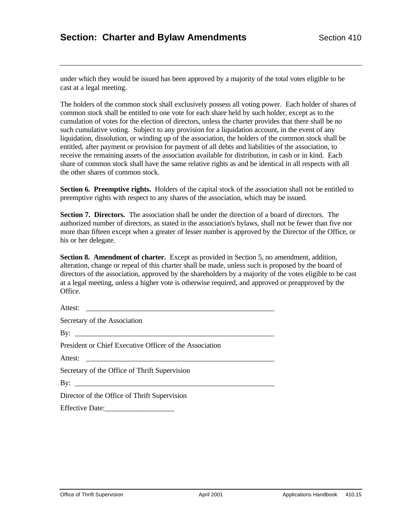under which they would be issued has been approved by a majority of the total votes eligible to be cast at a legal meeting.

The holders of the common stock shall exclusively possess all voting power. Each holder of shares of common stock shall be entitled to one vote for each share held by such holder, except as to the cumulation of votes for the election of directors, unless the charter provides that there shall be no such cumulative voting. Subject to any provision for a liquidation account, in the event of any liquidation, dissolution, or winding up of the association, the holders of the common stock shall be entitled, after payment or provision for payment of all debts and liabilities of the association, to receive the remaining assets of the association available for distribution, in cash or in kind. Each share of common stock shall have the same relative rights as and be identical in all respects with all the other shares of common stock.

**Section 6. Preemptive rights.** Holders of the capital stock of the association shall not be entitled to preemptive rights with respect to any shares of the association, which may be issued.

**Section 7. Directors.** The association shall be under the direction of a board of directors. The authorized number of directors, as stated in the association's bylaws, shall not be fewer than five nor more than fifteen except when a greater of lesser number is approved by the Director of the Office, or his or her delegate.

**Section 8. Amendment of charter.** Except as provided in Section 5, no amendment, addition, alteration, change or repeal of this charter shall be made, unless such is proposed by the board of directors of the association, approved by the shareholders by a majority of the votes eligible to be cast at a legal meeting, unless a higher vote is otherwise required, and approved or preapproved by the Office.

Attest: Secretary of the Association By: \_\_\_\_\_\_\_\_\_\_\_\_\_\_\_\_\_\_\_\_\_\_\_\_\_\_\_\_\_\_\_\_\_\_\_\_\_\_\_\_\_\_\_\_\_\_\_\_\_\_\_\_\_\_ President or Chief Executive Officer of the Association Attest: \_\_\_\_\_\_\_\_\_\_\_\_\_\_\_\_\_\_\_\_\_\_\_\_\_\_\_\_\_\_\_\_\_\_\_\_\_\_\_\_\_\_\_\_\_\_\_\_\_\_\_ Secretary of the Office of Thrift Supervision  $\rm\,By:$ Director of the Office of Thrift Supervision Effective Date: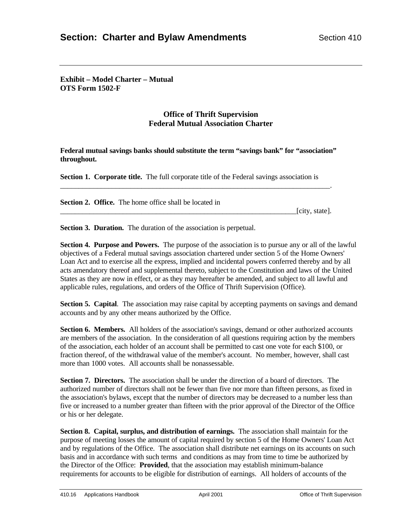**Exhibit – Model Charter – Mutual OTS Form 1502-F**

# **Office of Thrift Supervision Federal Mutual Association Charter**

**Federal mutual savings banks should substitute the term "savings bank" for "association" throughout.**

**Section 1. Corporate title.** The full corporate title of the Federal savings association is

\_\_\_\_\_\_\_\_\_\_\_\_\_\_\_\_\_\_\_\_\_\_\_\_\_\_\_\_\_\_\_\_\_\_\_\_\_\_\_\_\_\_\_\_\_\_\_\_\_\_\_\_\_\_\_\_\_\_\_\_\_\_\_\_\_\_\_\_\_\_\_\_\_.

**Section 2. Office.** The home office shall be located in

[city, state].

**Section 3. Duration.** The duration of the association is perpetual.

**Section 4. Purpose and Powers.** The purpose of the association is to pursue any or all of the lawful objectives of a Federal mutual savings association chartered under section 5 of the Home Owners' Loan Act and to exercise all the express, implied and incidental powers conferred thereby and by all acts amendatory thereof and supplemental thereto, subject to the Constitution and laws of the United States as they are now in effect, or as they may hereafter be amended, and subject to all lawful and applicable rules, regulations, and orders of the Office of Thrift Supervision (Office).

**Section 5. Capital**. The association may raise capital by accepting payments on savings and demand accounts and by any other means authorized by the Office.

**Section 6. Members.** All holders of the association's savings, demand or other authorized accounts are members of the association. In the consideration of all questions requiring action by the members of the association, each holder of an account shall be permitted to cast one vote for each \$100, or fraction thereof, of the withdrawal value of the member's account. No member, however, shall cast more than 1000 votes. All accounts shall be nonassessable.

**Section 7. Directors.** The association shall be under the direction of a board of directors. The authorized number of directors shall not be fewer than five nor more than fifteen persons, as fixed in the association's bylaws, except that the number of directors may be decreased to a number less than five or increased to a number greater than fifteen with the prior approval of the Director of the Office or his or her delegate.

**Section 8. Capital, surplus, and distribution of earnings.** The association shall maintain for the purpose of meeting losses the amount of capital required by section 5 of the Home Owners' Loan Act and by regulations of the Office. The association shall distribute net earnings on its accounts on such basis and in accordance with such terms and conditions as may from time to time be authorized by the Director of the Office: **Provided**, that the association may establish minimum-balance requirements for accounts to be eligible for distribution of earnings. All holders of accounts of the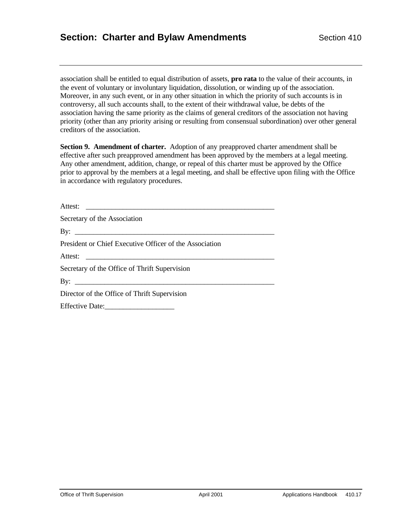association shall be entitled to equal distribution of assets, **pro rata** to the value of their accounts, in the event of voluntary or involuntary liquidation, dissolution, or winding up of the association. Moreover, in any such event, or in any other situation in which the priority of such accounts is in controversy, all such accounts shall, to the extent of their withdrawal value, be debts of the association having the same priority as the claims of general creditors of the association not having priority (other than any priority arising or resulting from consensual subordination) over other general creditors of the association.

**Section 9. Amendment of charter.** Adoption of any preapproved charter amendment shall be effective after such preapproved amendment has been approved by the members at a legal meeting. Any other amendment, addition, change, or repeal of this charter must be approved by the Office prior to approval by the members at a legal meeting, and shall be effective upon filing with the Office in accordance with regulatory procedures.

| Secretary of the Association                            |
|---------------------------------------------------------|
|                                                         |
| President or Chief Executive Officer of the Association |
|                                                         |
| Secretary of the Office of Thrift Supervision           |
|                                                         |
| Director of the Office of Thrift Supervision            |
|                                                         |
|                                                         |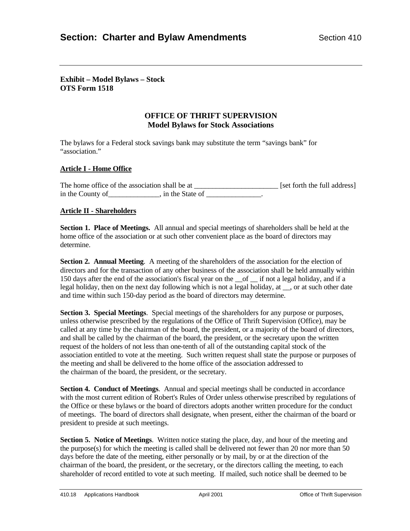## **Exhibit – Model Bylaws – Stock OTS Form 1518**

# **OFFICE OF THRIFT SUPERVISION Model Bylaws for Stock Associations**

The bylaws for a Federal stock savings bank may substitute the term "savings bank" for "association."

## **Article I - Home Office**

The home office of the association shall be at \_\_\_\_\_\_\_\_\_\_\_\_\_\_\_\_\_\_\_\_\_\_\_\_\_\_\_ [set forth the full address] in the County of \_\_\_\_\_\_\_\_\_\_\_, in the State of \_\_\_\_\_\_\_\_\_\_\_\_\_\_\_\_.

## **Article II - Shareholders**

**Section 1. Place of Meetings.** All annual and special meetings of shareholders shall be held at the home office of the association or at such other convenient place as the board of directors may determine.

**Section 2. Annual Meeting.** A meeting of the shareholders of the association for the election of directors and for the transaction of any other business of the association shall be held annually within 150 days after the end of the association's fiscal year on the \_\_of \_\_ if not a legal holiday, and if a legal holiday, then on the next day following which is not a legal holiday, at \_\_, or at such other date and time within such 150-day period as the board of directors may determine.

**Section 3. Special Meetings**. Special meetings of the shareholders for any purpose or purposes, unless otherwise prescribed by the regulations of the Office of Thrift Supervision (Office), may be called at any time by the chairman of the board, the president, or a majority of the board of directors, and shall be called by the chairman of the board, the president, or the secretary upon the written request of the holders of not less than one-tenth of all of the outstanding capital stock of the association entitled to vote at the meeting. Such written request shall state the purpose or purposes of the meeting and shall be delivered to the home office of the association addressed to the chairman of the board, the president, or the secretary.

**Section 4. Conduct of Meetings**. Annual and special meetings shall be conducted in accordance with the most current edition of Robert's Rules of Order unless otherwise prescribed by regulations of the Office or these bylaws or the board of directors adopts another written procedure for the conduct of meetings. The board of directors shall designate, when present, either the chairman of the board or president to preside at such meetings.

**Section 5. Notice of Meetings.** Written notice stating the place, day, and hour of the meeting and the purpose(s) for which the meeting is called shall be delivered not fewer than 20 nor more than 50 days before the date of the meeting, either personally or by mail, by or at the direction of the chairman of the board, the president, or the secretary, or the directors calling the meeting, to each shareholder of record entitled to vote at such meeting. If mailed, such notice shall be deemed to be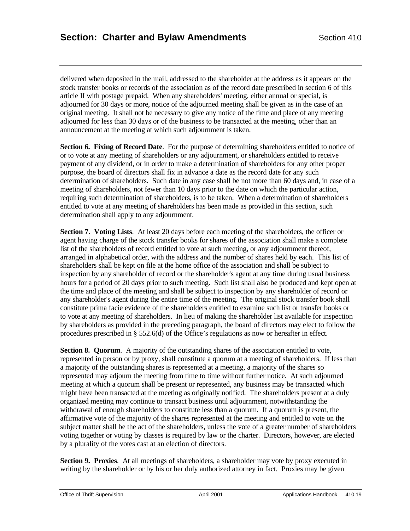delivered when deposited in the mail, addressed to the shareholder at the address as it appears on the stock transfer books or records of the association as of the record date prescribed in section 6 of this article II with postage prepaid. When any shareholders' meeting, either annual or special, is adjourned for 30 days or more, notice of the adjourned meeting shall be given as in the case of an original meeting. It shall not be necessary to give any notice of the time and place of any meeting adjourned for less than 30 days or of the business to be transacted at the meeting, other than an announcement at the meeting at which such adjournment is taken.

**Section 6. Fixing of Record Date**. For the purpose of determining shareholders entitled to notice of or to vote at any meeting of shareholders or any adjournment, or shareholders entitled to receive payment of any dividend, or in order to make a determination of shareholders for any other proper purpose, the board of directors shall fix in advance a date as the record date for any such determination of shareholders. Such date in any case shall be not more than 60 days and, in case of a meeting of shareholders, not fewer than 10 days prior to the date on which the particular action, requiring such determination of shareholders, is to be taken. When a determination of shareholders entitled to vote at any meeting of shareholders has been made as provided in this section, such determination shall apply to any adjournment.

**Section 7. Voting Lists**. At least 20 days before each meeting of the shareholders, the officer or agent having charge of the stock transfer books for shares of the association shall make a complete list of the shareholders of record entitled to vote at such meeting, or any adjournment thereof, arranged in alphabetical order, with the address and the number of shares held by each. This list of shareholders shall be kept on file at the home office of the association and shall be subject to inspection by any shareholder of record or the shareholder's agent at any time during usual business hours for a period of 20 days prior to such meeting. Such list shall also be produced and kept open at the time and place of the meeting and shall be subject to inspection by any shareholder of record or any shareholder's agent during the entire time of the meeting. The original stock transfer book shall constitute prima facie evidence of the shareholders entitled to examine such list or transfer books or to vote at any meeting of shareholders. In lieu of making the shareholder list available for inspection by shareholders as provided in the preceding paragraph, the board of directors may elect to follow the procedures prescribed in § 552.6(d) of the Office's regulations as now or hereafter in effect.

**Section 8. Quorum.** A majority of the outstanding shares of the association entitled to vote, represented in person or by proxy, shall constitute a quorum at a meeting of shareholders. If less than a majority of the outstanding shares is represented at a meeting, a majority of the shares so represented may adjourn the meeting from time to time without further notice. At such adjourned meeting at which a quorum shall be present or represented, any business may be transacted which might have been transacted at the meeting as originally notified. The shareholders present at a duly organized meeting may continue to transact business until adjournment, notwithstanding the withdrawal of enough shareholders to constitute less than a quorum. If a quorum is present, the affirmative vote of the majority of the shares represented at the meeting and entitled to vote on the subject matter shall be the act of the shareholders, unless the vote of a greater number of shareholders voting together or voting by classes is required by law or the charter. Directors, however, are elected by a plurality of the votes cast at an election of directors.

Section 9. Proxies. At all meetings of shareholders, a shareholder may vote by proxy executed in writing by the shareholder or by his or her duly authorized attorney in fact. Proxies may be given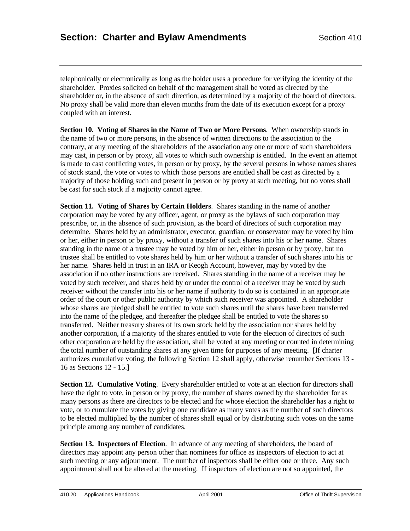telephonically or electronically as long as the holder uses a procedure for verifying the identity of the shareholder. Proxies solicited on behalf of the management shall be voted as directed by the shareholder or, in the absence of such direction, as determined by a majority of the board of directors. No proxy shall be valid more than eleven months from the date of its execution except for a proxy coupled with an interest.

**Section 10. Voting of Shares in the Name of Two or More Persons**. When ownership stands in the name of two or more persons, in the absence of written directions to the association to the contrary, at any meeting of the shareholders of the association any one or more of such shareholders may cast, in person or by proxy, all votes to which such ownership is entitled. In the event an attempt is made to cast conflicting votes, in person or by proxy, by the several persons in whose names shares of stock stand, the vote or votes to which those persons are entitled shall be cast as directed by a majority of those holding such and present in person or by proxy at such meeting, but no votes shall be cast for such stock if a majority cannot agree.

**Section 11. Voting of Shares by Certain Holders**. Shares standing in the name of another corporation may be voted by any officer, agent, or proxy as the bylaws of such corporation may prescribe, or, in the absence of such provision, as the board of directors of such corporation may determine. Shares held by an administrator, executor, guardian, or conservator may be voted by him or her, either in person or by proxy, without a transfer of such shares into his or her name. Shares standing in the name of a trustee may be voted by him or her, either in person or by proxy, but no trustee shall be entitled to vote shares held by him or her without a transfer of such shares into his or her name. Shares held in trust in an IRA or Keogh Account, however, may by voted by the association if no other instructions are received. Shares standing in the name of a receiver may be voted by such receiver, and shares held by or under the control of a receiver may be voted by such receiver without the transfer into his or her name if authority to do so is contained in an appropriate order of the court or other public authority by which such receiver was appointed. A shareholder whose shares are pledged shall be entitled to vote such shares until the shares have been transferred into the name of the pledgee, and thereafter the pledgee shall be entitled to vote the shares so transferred. Neither treasury shares of its own stock held by the association nor shares held by another corporation, if a majority of the shares entitled to vote for the election of directors of such other corporation are held by the association, shall be voted at any meeting or counted in determining the total number of outstanding shares at any given time for purposes of any meeting. [If charter authorizes cumulative voting, the following Section 12 shall apply, otherwise renumber Sections 13 - 16 as Sections 12 - 15.]

**Section 12. Cumulative Voting.** Every shareholder entitled to vote at an election for directors shall have the right to vote, in person or by proxy, the number of shares owned by the shareholder for as many persons as there are directors to be elected and for whose election the shareholder has a right to vote, or to cumulate the votes by giving one candidate as many votes as the number of such directors to be elected multiplied by the number of shares shall equal or by distributing such votes on the same principle among any number of candidates.

**Section 13. Inspectors of Election**. In advance of any meeting of shareholders, the board of directors may appoint any person other than nominees for office as inspectors of election to act at such meeting or any adjournment. The number of inspectors shall be either one or three. Any such appointment shall not be altered at the meeting. If inspectors of election are not so appointed, the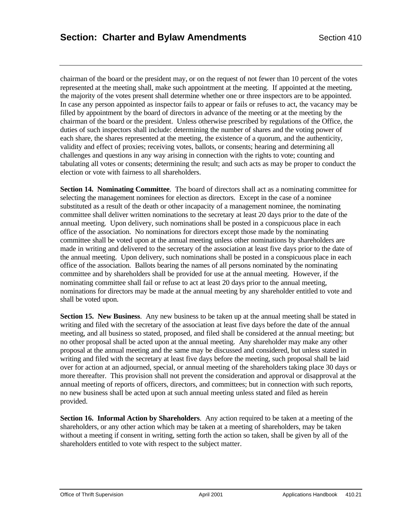chairman of the board or the president may, or on the request of not fewer than 10 percent of the votes represented at the meeting shall, make such appointment at the meeting. If appointed at the meeting, the majority of the votes present shall determine whether one or three inspectors are to be appointed. In case any person appointed as inspector fails to appear or fails or refuses to act, the vacancy may be filled by appointment by the board of directors in advance of the meeting or at the meeting by the chairman of the board or the president. Unless otherwise prescribed by regulations of the Office, the duties of such inspectors shall include: determining the number of shares and the voting power of each share, the shares represented at the meeting, the existence of a quorum, and the authenticity, validity and effect of proxies; receiving votes, ballots, or consents; hearing and determining all challenges and questions in any way arising in connection with the rights to vote; counting and tabulating all votes or consents; determining the result; and such acts as may be proper to conduct the election or vote with fairness to all shareholders.

**Section 14. Nominating Committee**. The board of directors shall act as a nominating committee for selecting the management nominees for election as directors. Except in the case of a nominee substituted as a result of the death or other incapacity of a management nominee, the nominating committee shall deliver written nominations to the secretary at least 20 days prior to the date of the annual meeting. Upon delivery, such nominations shall be posted in a conspicuous place in each office of the association. No nominations for directors except those made by the nominating committee shall be voted upon at the annual meeting unless other nominations by shareholders are made in writing and delivered to the secretary of the association at least five days prior to the date of the annual meeting. Upon delivery, such nominations shall be posted in a conspicuous place in each office of the association. Ballots bearing the names of all persons nominated by the nominating committee and by shareholders shall be provided for use at the annual meeting. However, if the nominating committee shall fail or refuse to act at least 20 days prior to the annual meeting, nominations for directors may be made at the annual meeting by any shareholder entitled to vote and shall be voted upon.

**Section 15. New Business**. Any new business to be taken up at the annual meeting shall be stated in writing and filed with the secretary of the association at least five days before the date of the annual meeting, and all business so stated, proposed, and filed shall be considered at the annual meeting; but no other proposal shall be acted upon at the annual meeting. Any shareholder may make any other proposal at the annual meeting and the same may be discussed and considered, but unless stated in writing and filed with the secretary at least five days before the meeting, such proposal shall be laid over for action at an adjourned, special, or annual meeting of the shareholders taking place 30 days or more thereafter. This provision shall not prevent the consideration and approval or disapproval at the annual meeting of reports of officers, directors, and committees; but in connection with such reports, no new business shall be acted upon at such annual meeting unless stated and filed as herein provided.

**Section 16. Informal Action by Shareholders**. Any action required to be taken at a meeting of the shareholders, or any other action which may be taken at a meeting of shareholders, may be taken without a meeting if consent in writing, setting forth the action so taken, shall be given by all of the shareholders entitled to vote with respect to the subject matter.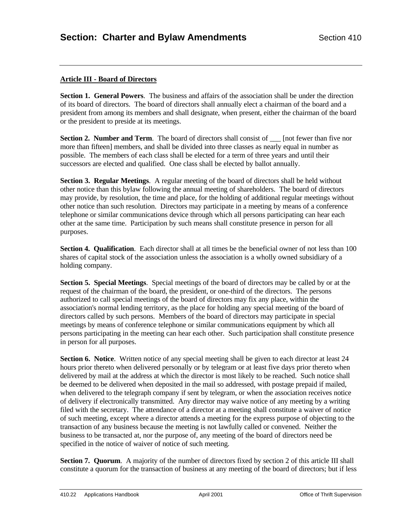# **Article III - Board of Directors**

**Section 1. General Powers**. The business and affairs of the association shall be under the direction of its board of directors. The board of directors shall annually elect a chairman of the board and a president from among its members and shall designate, when present, either the chairman of the board or the president to preside at its meetings.

**Section 2. Number and Term**. The board of directors shall consist of <u>section</u> [not fewer than five nor more than fifteen] members, and shall be divided into three classes as nearly equal in number as possible. The members of each class shall be elected for a term of three years and until their successors are elected and qualified. One class shall be elected by ballot annually.

**Section 3. Regular Meetings**. A regular meeting of the board of directors shall be held without other notice than this bylaw following the annual meeting of shareholders. The board of directors may provide, by resolution, the time and place, for the holding of additional regular meetings without other notice than such resolution. Directors may participate in a meeting by means of a conference telephone or similar communications device through which all persons participating can hear each other at the same time. Participation by such means shall constitute presence in person for all purposes.

**Section 4. Qualification.** Each director shall at all times be the beneficial owner of not less than 100 shares of capital stock of the association unless the association is a wholly owned subsidiary of a holding company.

**Section 5. Special Meetings**. Special meetings of the board of directors may be called by or at the request of the chairman of the board, the president, or one-third of the directors. The persons authorized to call special meetings of the board of directors may fix any place, within the association's normal lending territory, as the place for holding any special meeting of the board of directors called by such persons. Members of the board of directors may participate in special meetings by means of conference telephone or similar communications equipment by which all persons participating in the meeting can hear each other. Such participation shall constitute presence in person for all purposes.

**Section 6. Notice**. Written notice of any special meeting shall be given to each director at least 24 hours prior thereto when delivered personally or by telegram or at least five days prior thereto when delivered by mail at the address at which the director is most likely to be reached. Such notice shall be deemed to be delivered when deposited in the mail so addressed, with postage prepaid if mailed, when delivered to the telegraph company if sent by telegram, or when the association receives notice of delivery if electronically transmitted. Any director may waive notice of any meeting by a writing filed with the secretary. The attendance of a director at a meeting shall constitute a waiver of notice of such meeting, except where a director attends a meeting for the express purpose of objecting to the transaction of any business because the meeting is not lawfully called or convened. Neither the business to be transacted at, nor the purpose of, any meeting of the board of directors need be specified in the notice of waiver of notice of such meeting.

Section 7. Quorum. A majority of the number of directors fixed by section 2 of this article III shall constitute a quorum for the transaction of business at any meeting of the board of directors; but if less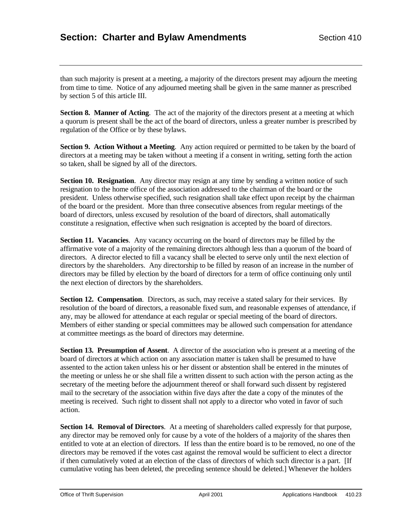than such majority is present at a meeting, a majority of the directors present may adjourn the meeting from time to time. Notice of any adjourned meeting shall be given in the same manner as prescribed by section 5 of this article III.

**Section 8. Manner of Acting.** The act of the majority of the directors present at a meeting at which a quorum is present shall be the act of the board of directors, unless a greater number is prescribed by regulation of the Office or by these bylaws.

**Section 9. Action Without a Meeting**. Any action required or permitted to be taken by the board of directors at a meeting may be taken without a meeting if a consent in writing, setting forth the action so taken, shall be signed by all of the directors.

**Section 10. Resignation**. Any director may resign at any time by sending a written notice of such resignation to the home office of the association addressed to the chairman of the board or the president. Unless otherwise specified, such resignation shall take effect upon receipt by the chairman of the board or the president. More than three consecutive absences from regular meetings of the board of directors, unless excused by resolution of the board of directors, shall automatically constitute a resignation, effective when such resignation is accepted by the board of directors.

**Section 11. Vacancies.** Any vacancy occurring on the board of directors may be filled by the affirmative vote of a majority of the remaining directors although less than a quorum of the board of directors. A director elected to fill a vacancy shall be elected to serve only until the next election of directors by the shareholders. Any directorship to be filled by reason of an increase in the number of directors may be filled by election by the board of directors for a term of office continuing only until the next election of directors by the shareholders.

**Section 12. Compensation**. Directors, as such, may receive a stated salary for their services. By resolution of the board of directors, a reasonable fixed sum, and reasonable expenses of attendance, if any, may be allowed for attendance at each regular or special meeting of the board of directors. Members of either standing or special committees may be allowed such compensation for attendance at committee meetings as the board of directors may determine.

**Section 13. Presumption of Assent**. A director of the association who is present at a meeting of the board of directors at which action on any association matter is taken shall be presumed to have assented to the action taken unless his or her dissent or abstention shall be entered in the minutes of the meeting or unless he or she shall file a written dissent to such action with the person acting as the secretary of the meeting before the adjournment thereof or shall forward such dissent by registered mail to the secretary of the association within five days after the date a copy of the minutes of the meeting is received. Such right to dissent shall not apply to a director who voted in favor of such action.

**Section 14. Removal of Directors**. At a meeting of shareholders called expressly for that purpose, any director may be removed only for cause by a vote of the holders of a majority of the shares then entitled to vote at an election of directors. If less than the entire board is to be removed, no one of the directors may be removed if the votes cast against the removal would be sufficient to elect a director if then cumulatively voted at an election of the class of directors of which such director is a part. [If cumulative voting has been deleted, the preceding sentence should be deleted.] Whenever the holders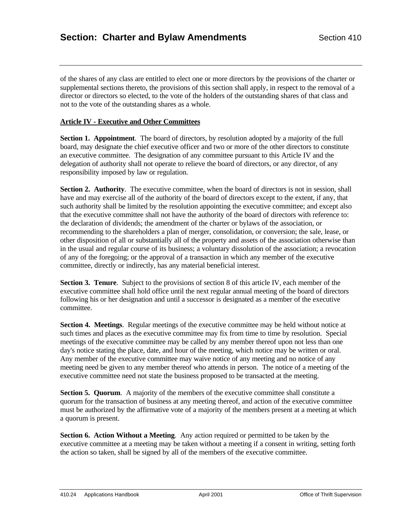of the shares of any class are entitled to elect one or more directors by the provisions of the charter or supplemental sections thereto, the provisions of this section shall apply, in respect to the removal of a director or directors so elected, to the vote of the holders of the outstanding shares of that class and not to the vote of the outstanding shares as a whole.

## **Article IV - Executive and Other Committees**

**Section 1. Appointment**. The board of directors, by resolution adopted by a majority of the full board, may designate the chief executive officer and two or more of the other directors to constitute an executive committee. The designation of any committee pursuant to this Article IV and the delegation of authority shall not operate to relieve the board of directors, or any director, of any responsibility imposed by law or regulation.

**Section 2. Authority**. The executive committee, when the board of directors is not in session, shall have and may exercise all of the authority of the board of directors except to the extent, if any, that such authority shall be limited by the resolution appointing the executive committee; and except also that the executive committee shall not have the authority of the board of directors with reference to: the declaration of dividends; the amendment of the charter or bylaws of the association, or recommending to the shareholders a plan of merger, consolidation, or conversion; the sale, lease, or other disposition of all or substantially all of the property and assets of the association otherwise than in the usual and regular course of its business; a voluntary dissolution of the association; a revocation of any of the foregoing; or the approval of a transaction in which any member of the executive committee, directly or indirectly, has any material beneficial interest.

**Section 3. Tenure**. Subject to the provisions of section 8 of this article IV, each member of the executive committee shall hold office until the next regular annual meeting of the board of directors following his or her designation and until a successor is designated as a member of the executive committee.

**Section 4. Meetings**. Regular meetings of the executive committee may be held without notice at such times and places as the executive committee may fix from time to time by resolution. Special meetings of the executive committee may be called by any member thereof upon not less than one day's notice stating the place, date, and hour of the meeting, which notice may be written or oral. Any member of the executive committee may waive notice of any meeting and no notice of any meeting need be given to any member thereof who attends in person. The notice of a meeting of the executive committee need not state the business proposed to be transacted at the meeting.

**Section 5. Quorum.** A majority of the members of the executive committee shall constitute a quorum for the transaction of business at any meeting thereof, and action of the executive committee must be authorized by the affirmative vote of a majority of the members present at a meeting at which a quorum is present.

**Section 6. Action Without a Meeting**. Any action required or permitted to be taken by the executive committee at a meeting may be taken without a meeting if a consent in writing, setting forth the action so taken, shall be signed by all of the members of the executive committee.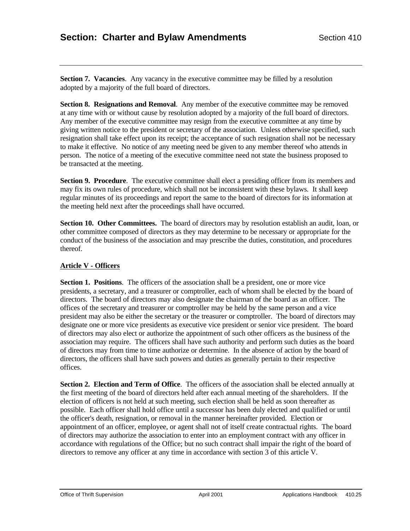**Section 7. Vacancies.** Any vacancy in the executive committee may be filled by a resolution adopted by a majority of the full board of directors.

**Section 8. Resignations and Removal.** Any member of the executive committee may be removed at any time with or without cause by resolution adopted by a majority of the full board of directors. Any member of the executive committee may resign from the executive committee at any time by giving written notice to the president or secretary of the association. Unless otherwise specified, such resignation shall take effect upon its receipt; the acceptance of such resignation shall not be necessary to make it effective. No notice of any meeting need be given to any member thereof who attends in person. The notice of a meeting of the executive committee need not state the business proposed to be transacted at the meeting.

**Section 9. Procedure**. The executive committee shall elect a presiding officer from its members and may fix its own rules of procedure, which shall not be inconsistent with these bylaws. It shall keep regular minutes of its proceedings and report the same to the board of directors for its information at the meeting held next after the proceedings shall have occurred.

**Section 10. Other Committees.** The board of directors may by resolution establish an audit, loan, or other committee composed of directors as they may determine to be necessary or appropriate for the conduct of the business of the association and may prescribe the duties, constitution, and procedures thereof.

### **Article V - Officers**

**Section 1. Positions**. The officers of the association shall be a president, one or more vice presidents, a secretary, and a treasurer or comptroller, each of whom shall be elected by the board of directors. The board of directors may also designate the chairman of the board as an officer. The offices of the secretary and treasurer or comptroller may be held by the same person and a vice president may also be either the secretary or the treasurer or comptroller. The board of directors may designate one or more vice presidents as executive vice president or senior vice president. The board of directors may also elect or authorize the appointment of such other officers as the business of the association may require. The officers shall have such authority and perform such duties as the board of directors may from time to time authorize or determine. In the absence of action by the board of directors, the officers shall have such powers and duties as generally pertain to their respective offices.

**Section 2. Election and Term of Office**. The officers of the association shall be elected annually at the first meeting of the board of directors held after each annual meeting of the shareholders. If the election of officers is not held at such meeting, such election shall be held as soon thereafter as possible. Each officer shall hold office until a successor has been duly elected and qualified or until the officer's death, resignation, or removal in the manner hereinafter provided. Election or appointment of an officer, employee, or agent shall not of itself create contractual rights. The board of directors may authorize the association to enter into an employment contract with any officer in accordance with regulations of the Office; but no such contract shall impair the right of the board of directors to remove any officer at any time in accordance with section 3 of this article V.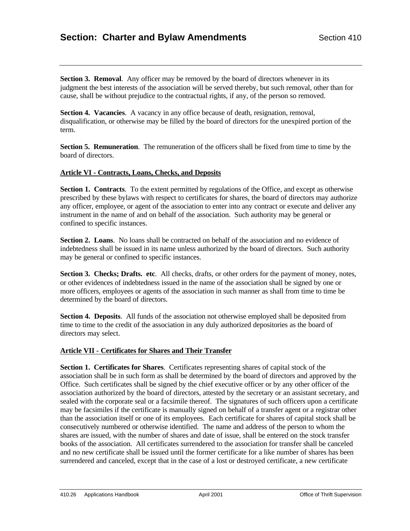**Section 3. Removal.** Any officer may be removed by the board of directors whenever in its judgment the best interests of the association will be served thereby, but such removal, other than for cause, shall be without prejudice to the contractual rights, if any, of the person so removed.

**Section 4. Vacancies.** A vacancy in any office because of death, resignation, removal, disqualification, or otherwise may be filled by the board of directors for the unexpired portion of the term.

**Section 5. Remuneration**. The remuneration of the officers shall be fixed from time to time by the board of directors.

#### **Article VI - Contracts, Loans, Checks, and Deposits**

**Section 1. Contracts**. To the extent permitted by regulations of the Office, and except as otherwise prescribed by these bylaws with respect to certificates for shares, the board of directors may authorize any officer, employee, or agent of the association to enter into any contract or execute and deliver any instrument in the name of and on behalf of the association. Such authority may be general or confined to specific instances.

**Section 2. Loans**. No loans shall be contracted on behalf of the association and no evidence of indebtedness shall be issued in its name unless authorized by the board of directors. Such authority may be general or confined to specific instances.

**Section 3. Checks; Drafts. etc.** All checks, drafts, or other orders for the payment of money, notes, or other evidences of indebtedness issued in the name of the association shall be signed by one or more officers, employees or agents of the association in such manner as shall from time to time be determined by the board of directors.

**Section 4. Deposits.** All funds of the association not otherwise employed shall be deposited from time to time to the credit of the association in any duly authorized depositories as the board of directors may select.

## **Article VII - Certificates for Shares and Their Transfer**

**Section 1. Certificates for Shares**. Certificates representing shares of capital stock of the association shall be in such form as shall be determined by the board of directors and approved by the Office. Such certificates shall be signed by the chief executive officer or by any other officer of the association authorized by the board of directors, attested by the secretary or an assistant secretary, and sealed with the corporate seal or a facsimile thereof. The signatures of such officers upon a certificate may be facsimiles if the certificate is manually signed on behalf of a transfer agent or a registrar other than the association itself or one of its employees. Each certificate for shares of capital stock shall be consecutively numbered or otherwise identified. The name and address of the person to whom the shares are issued, with the number of shares and date of issue, shall be entered on the stock transfer books of the association. All certificates surrendered to the association for transfer shall be canceled and no new certificate shall be issued until the former certificate for a like number of shares has been surrendered and canceled, except that in the case of a lost or destroyed certificate, a new certificate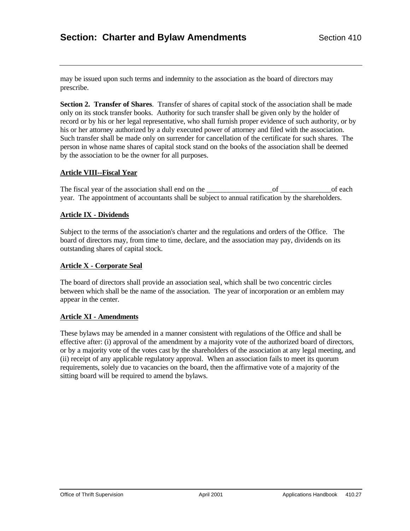may be issued upon such terms and indemnity to the association as the board of directors may prescribe.

**Section 2. Transfer of Shares**. Transfer of shares of capital stock of the association shall be made only on its stock transfer books. Authority for such transfer shall be given only by the holder of record or by his or her legal representative, who shall furnish proper evidence of such authority, or by his or her attorney authorized by a duly executed power of attorney and filed with the association. Such transfer shall be made only on surrender for cancellation of the certificate for such shares. The person in whose name shares of capital stock stand on the books of the association shall be deemed by the association to be the owner for all purposes.

#### **Article VIII--Fiscal Year**

The fiscal year of the association shall end on the \_\_\_\_\_\_\_\_\_\_\_\_\_\_\_\_\_\_of \_\_\_\_\_\_\_\_\_\_\_\_\_\_of each year. The appointment of accountants shall be subject to annual ratification by the shareholders.

#### **Article IX - Dividends**

Subject to the terms of the association's charter and the regulations and orders of the Office. The board of directors may, from time to time, declare, and the association may pay, dividends on its outstanding shares of capital stock.

### **Article X - Corporate Seal**

The board of directors shall provide an association seal, which shall be two concentric circles between which shall be the name of the association. The year of incorporation or an emblem may appear in the center.

#### **Article XI - Amendments**

These bylaws may be amended in a manner consistent with regulations of the Office and shall be effective after: (i) approval of the amendment by a majority vote of the authorized board of directors, or by a majority vote of the votes cast by the shareholders of the association at any legal meeting, and (ii) receipt of any applicable regulatory approval. When an association fails to meet its quorum requirements, solely due to vacancies on the board, then the affirmative vote of a majority of the sitting board will be required to amend the bylaws.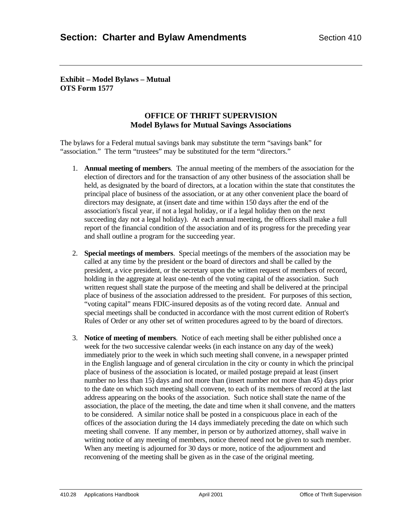**Exhibit – Model Bylaws – Mutual OTS Form 1577**

# **OFFICE OF THRIFT SUPERVISION Model Bylaws for Mutual Savings Associations**

The bylaws for a Federal mutual savings bank may substitute the term "savings bank" for "association." The term "trustees" may be substituted for the term "directors."

- 1. **Annual meeting of members**. The annual meeting of the members of the association for the election of directors and for the transaction of any other business of the association shall be held, as designated by the board of directors, at a location within the state that constitutes the principal place of business of the association, or at any other convenient place the board of directors may designate, at (insert date and time within 150 days after the end of the association's fiscal year, if not a legal holiday, or if a legal holiday then on the next succeeding day not a legal holiday). At each annual meeting, the officers shall make a full report of the financial condition of the association and of its progress for the preceding year and shall outline a program for the succeeding year.
- 2. **Special meetings of members**. Special meetings of the members of the association may be called at any time by the president or the board of directors and shall be called by the president, a vice president, or the secretary upon the written request of members of record, holding in the aggregate at least one-tenth of the voting capital of the association. Such written request shall state the purpose of the meeting and shall be delivered at the principal place of business of the association addressed to the president. For purposes of this section, "voting capital" means FDIC-insured deposits as of the voting record date. Annual and special meetings shall be conducted in accordance with the most current edition of Robert's Rules of Order or any other set of written procedures agreed to by the board of directors.
- 3. **Notice of meeting of members**. Notice of each meeting shall be either published once a week for the two successive calendar weeks (in each instance on any day of the week) immediately prior to the week in which such meeting shall convene, in a newspaper printed in the English language and of general circulation in the city or county in which the principal place of business of the association is located, or mailed postage prepaid at least (insert number no less than 15) days and not more than (insert number not more than 45) days prior to the date on which such meeting shall convene, to each of its members of record at the last address appearing on the books of the association. Such notice shall state the name of the association, the place of the meeting, the date and time when it shall convene, and the matters to be considered. A similar notice shall be posted in a conspicuous place in each of the offices of the association during the 14 days immediately preceding the date on which such meeting shall convene. If any member, in person or by authorized attorney, shall waive in writing notice of any meeting of members, notice thereof need not be given to such member. When any meeting is adjourned for 30 days or more, notice of the adjournment and reconvening of the meeting shall be given as in the case of the original meeting.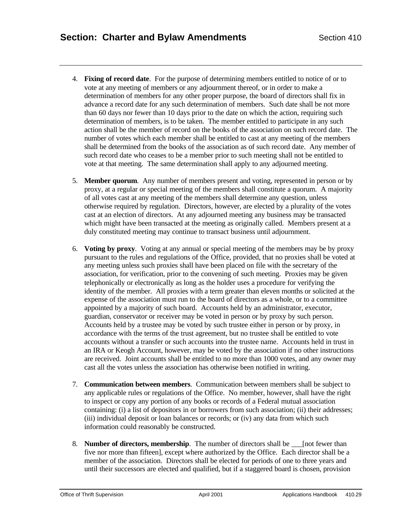- 4. **Fixing of record date**. For the purpose of determining members entitled to notice of or to vote at any meeting of members or any adjournment thereof, or in order to make a determination of members for any other proper purpose, the board of directors shall fix in advance a record date for any such determination of members. Such date shall be not more than 60 days nor fewer than 10 days prior to the date on which the action, requiring such determination of members, is to be taken. The member entitled to participate in any such action shall be the member of record on the books of the association on such record date. The number of votes which each member shall be entitled to cast at any meeting of the members shall be determined from the books of the association as of such record date. Any member of such record date who ceases to be a member prior to such meeting shall not be entitled to vote at that meeting. The same determination shall apply to any adjourned meeting.
- 5. **Member quorum**. Any number of members present and voting, represented in person or by proxy, at a regular or special meeting of the members shall constitute a quorum. A majority of all votes cast at any meeting of the members shall determine any question, unless otherwise required by regulation. Directors, however, are elected by a plurality of the votes cast at an election of directors. At any adjourned meeting any business may be transacted which might have been transacted at the meeting as originally called. Members present at a duly constituted meeting may continue to transact business until adjournment.
- 6. **Voting by proxy**. Voting at any annual or special meeting of the members may be by proxy pursuant to the rules and regulations of the Office, provided, that no proxies shall be voted at any meeting unless such proxies shall have been placed on file with the secretary of the association, for verification, prior to the convening of such meeting. Proxies may be given telephonically or electronically as long as the holder uses a procedure for verifying the identity of the member. All proxies with a term greater than eleven months or solicited at the expense of the association must run to the board of directors as a whole, or to a committee appointed by a majority of such board. Accounts held by an administrator, executor, guardian, conservator or receiver may be voted in person or by proxy by such person. Accounts held by a trustee may be voted by such trustee either in person or by proxy, in accordance with the terms of the trust agreement, but no trustee shall be entitled to vote accounts without a transfer or such accounts into the trustee name. Accounts held in trust in an IRA or Keogh Account, however, may be voted by the association if no other instructions are received. Joint accounts shall be entitled to no more than 1000 votes, and any owner may cast all the votes unless the association has otherwise been notified in writing.
- 7. **Communication between members**. Communication between members shall be subject to any applicable rules or regulations of the Office. No member, however, shall have the right to inspect or copy any portion of any books or records of a Federal mutual association containing: (i) a list of depositors in or borrowers from such association; (ii) their addresses; (iii) individual deposit or loan balances or records; or (iv) any data from which such information could reasonably be constructed.
- 8. **Number of directors, membership**. The number of directors shall be \_\_\_\_[not fewer than five nor more than fifteen], except where authorized by the Office. Each director shall be a member of the association. Directors shall be elected for periods of one to three years and until their successors are elected and qualified, but if a staggered board is chosen, provision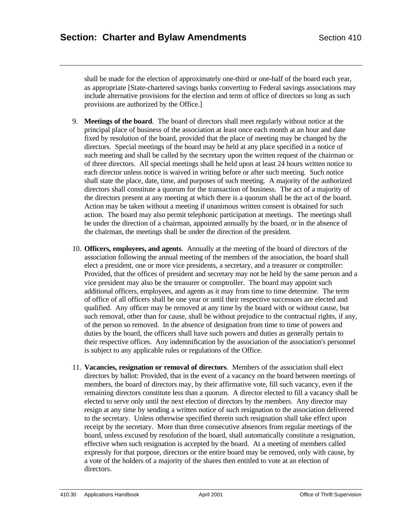shall be made for the election of approximately one-third or one-half of the board each year, as appropriate [State-chartered savings banks converting to Federal savings associations may include alternative provisions for the election and term of office of directors so long as such provisions are authorized by the Office.]

- 9. **Meetings of the board**. The board of directors shall meet regularly without notice at the principal place of business of the association at least once each month at an hour and date fixed by resolution of the board, provided that the place of meeting may be changed by the directors. Special meetings of the board may be held at any place specified in a notice of such meeting and shall be called by the secretary upon the written request of the chairman or of three directors. All special meetings shall be held upon at least 24 hours written notice to each director unless notice is waived in writing before or after such meeting. Such notice shall state the place, date, time, and purposes of such meeting. A majority of the authorized directors shall constitute a quorum for the transaction of business. The act of a majority of the directors present at any meeting at which there is a quorum shall be the act of the board. Action may be taken without a meeting if unanimous written consent is obtained for such action. The board may also permit telephonic participation at meetings. The meetings shall be under the direction of a chairman, appointed annually by the board, or in the absence of the chairman, the meetings shall be under the direction of the president.
- 10. **Officers, employees, and agents**. Annually at the meeting of the board of directors of the association following the annual meeting of the members of the association, the board shall elect a president, one or more vice presidents, a secretary, and a treasurer or comptroller: Provided, that the offices of president and secretary may not be held by the same person and a vice president may also be the treasurer or comptroller. The board may appoint such additional officers, employees, and agents as it may from time to time determine. The term of office of all officers shall be one year or until their respective successors are elected and qualified. Any officer may be removed at any time by the board with or without cause, but such removal, other than for cause, shall be without prejudice to the contractual rights, if any, of the person so removed. In the absence of designation from time to time of powers and duties by the board, the officers shall have such powers and duties as generally pertain to their respective offices. Any indemnification by the association of the association's personnel is subject to any applicable rules or regulations of the Office.
- 11. **Vacancies, resignation or removal of directors**. Members of the association shall elect directors by ballot: Provided, that in the event of a vacancy on the board between meetings of members, the board of directors may, by their affirmative vote, fill such vacancy, even if the remaining directors constitute less than a quorum. A director elected to fill a vacancy shall be elected to serve only until the next election of directors by the members. Any director may resign at any time by sending a written notice of such resignation to the association delivered to the secretary. Unless otherwise specified therein such resignation shall take effect upon receipt by the secretary. More than three consecutive absences from regular meetings of the board, unless excused by resolution of the board, shall automatically constitute a resignation, effective when such resignation is accepted by the board. At a meeting of members called expressly for that purpose, directors or the entire board may be removed, only with cause, by a vote of the holders of a majority of the shares then entitled to vote at an election of directors.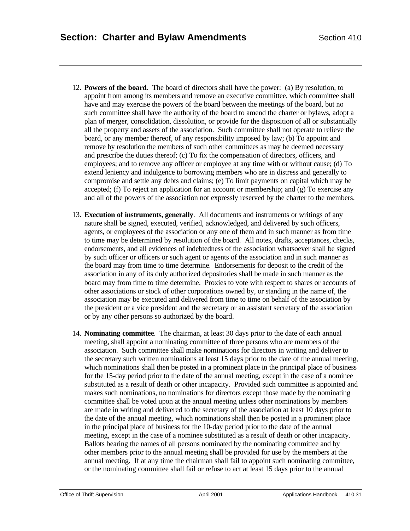- 12. **Powers of the board**. The board of directors shall have the power: (a) By resolution, to appoint from among its members and remove an executive committee, which committee shall have and may exercise the powers of the board between the meetings of the board, but no such committee shall have the authority of the board to amend the charter or bylaws, adopt a plan of merger, consolidation, dissolution, or provide for the disposition of all or substantially all the property and assets of the association. Such committee shall not operate to relieve the board, or any member thereof, of any responsibility imposed by law; (b) To appoint and remove by resolution the members of such other committees as may be deemed necessary and prescribe the duties thereof; (c) To fix the compensation of directors, officers, and employees; and to remove any officer or employee at any time with or without cause; (d) To extend leniency and indulgence to borrowing members who are in distress and generally to compromise and settle any debts and claims; (e) To limit payments on capital which may be accepted; (f) To reject an application for an account or membership; and (g) To exercise any and all of the powers of the association not expressly reserved by the charter to the members.
- 13. **Execution of instruments, generally**. All documents and instruments or writings of any nature shall be signed, executed, verified, acknowledged, and delivered by such officers, agents, or employees of the association or any one of them and in such manner as from time to time may be determined by resolution of the board. All notes, drafts, acceptances, checks, endorsements, and all evidences of indebtedness of the association whatsoever shall be signed by such officer or officers or such agent or agents of the association and in such manner as the board may from time to time determine. Endorsements for deposit to the credit of the association in any of its duly authorized depositories shall be made in such manner as the board may from time to time determine. Proxies to vote with respect to shares or accounts of other associations or stock of other corporations owned by, or standing in the name of, the association may be executed and delivered from time to time on behalf of the association by the president or a vice president and the secretary or an assistant secretary of the association or by any other persons so authorized by the board.
- 14. **Nominating committee**. The chairman, at least 30 days prior to the date of each annual meeting, shall appoint a nominating committee of three persons who are members of the association. Such committee shall make nominations for directors in writing and deliver to the secretary such written nominations at least 15 days prior to the date of the annual meeting, which nominations shall then be posted in a prominent place in the principal place of business for the 15-day period prior to the date of the annual meeting, except in the case of a nominee substituted as a result of death or other incapacity. Provided such committee is appointed and makes such nominations, no nominations for directors except those made by the nominating committee shall be voted upon at the annual meeting unless other nominations by members are made in writing and delivered to the secretary of the association at least 10 days prior to the date of the annual meeting, which nominations shall then be posted in a prominent place in the principal place of business for the 10-day period prior to the date of the annual meeting, except in the case of a nominee substituted as a result of death or other incapacity. Ballots bearing the names of all persons nominated by the nominating committee and by other members prior to the annual meeting shall be provided for use by the members at the annual meeting. If at any time the chairman shall fail to appoint such nominating committee, or the nominating committee shall fail or refuse to act at least 15 days prior to the annual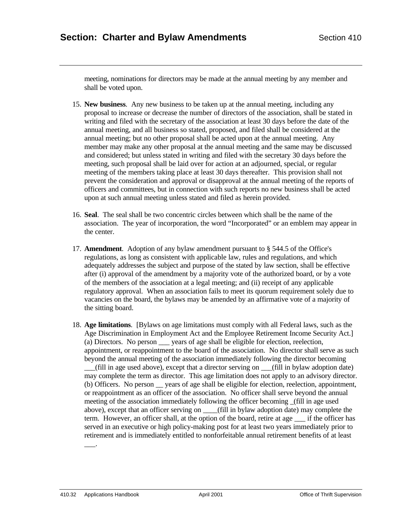meeting, nominations for directors may be made at the annual meeting by any member and shall be voted upon.

- 15. **New business**. Any new business to be taken up at the annual meeting, including any proposal to increase or decrease the number of directors of the association, shall be stated in writing and filed with the secretary of the association at least 30 days before the date of the annual meeting, and all business so stated, proposed, and filed shall be considered at the annual meeting; but no other proposal shall be acted upon at the annual meeting. Any member may make any other proposal at the annual meeting and the same may be discussed and considered; but unless stated in writing and filed with the secretary 30 days before the meeting, such proposal shall be laid over for action at an adjourned, special, or regular meeting of the members taking place at least 30 days thereafter. This provision shall not prevent the consideration and approval or disapproval at the annual meeting of the reports of officers and committees, but in connection with such reports no new business shall be acted upon at such annual meeting unless stated and filed as herein provided.
- 16. **Seal**. The seal shall be two concentric circles between which shall be the name of the association. The year of incorporation, the word "Incorporated" or an emblem may appear in the center.
- 17. **Amendment**. Adoption of any bylaw amendment pursuant to § 544.5 of the Office's regulations, as long as consistent with applicable law, rules and regulations, and which adequately addresses the subject and purpose of the stated by law section, shall be effective after (i) approval of the amendment by a majority vote of the authorized board, or by a vote of the members of the association at a legal meeting; and (ii) receipt of any applicable regulatory approval. When an association fails to meet its quorum requirement solely due to vacancies on the board, the bylaws may be amended by an affirmative vote of a majority of the sitting board.
- 18. **Age limitations**. [Bylaws on age limitations must comply with all Federal laws, such as the Age Discrimination in Employment Act and the Employee Retirement Income Security Act.] (a) Directors. No person \_\_\_ years of age shall be eligible for election, reelection, appointment, or reappointment to the board of the association. No director shall serve as such beyond the annual meeting of the association immediately following the director becoming \_\_\_(fill in age used above), except that a director serving on \_\_\_(fill in bylaw adoption date) may complete the term as director. This age limitation does not apply to an advisory director. (b) Officers. No person \_\_ years of age shall be eligible for election, reelection, appointment, or reappointment as an officer of the association. No officer shall serve beyond the annual meeting of the association immediately following the officer becoming \_(fill in age used above), except that an officer serving on \_\_\_\_(fill in bylaw adoption date) may complete the term. However, an officer shall, at the option of the board, retire at age \_\_\_ if the officer has served in an executive or high policy-making post for at least two years immediately prior to retirement and is immediately entitled to nonforfeitable annual retirement benefits of at least

 $\overline{\phantom{a}}$ .